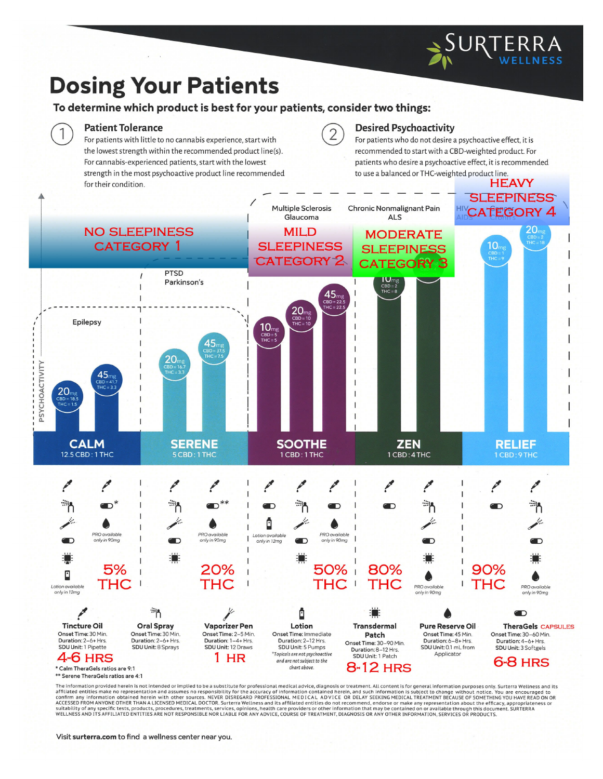# **Dosing Your Patients**

## To determine which product is best for your patients, consider two things:

#### **Patient Tolerance**

 $\overline{1}$ 

For patients with little to no cannabis experience, start with the lowest strength within the recommended product line(s). For cannabis-experienced patients, start with the lowest strength in the most psychoactive product line recommended for their condition.

#### **Desired Psychoactivity**

 $\overline{2}$ 

For patients who do not desire a psychoactive effect, it is recommended to start with a CBD-weighted product. For patients who desire a psychoactive effect, it is recommended to use a balanced or THC-weighted product line.



\*\* Serene TheraGels ratios are 4:1

The information provided herein is not intended or implied to be a substitute for professional medical advice, diagnosis or treatment. All content is for general information purposes only. Surterra Wellness and its re information provided nerein is not interested to the protestimal metallity for the accuracy of information contained herein, and such information is subject to change without notice. You are encouraged to confirm any in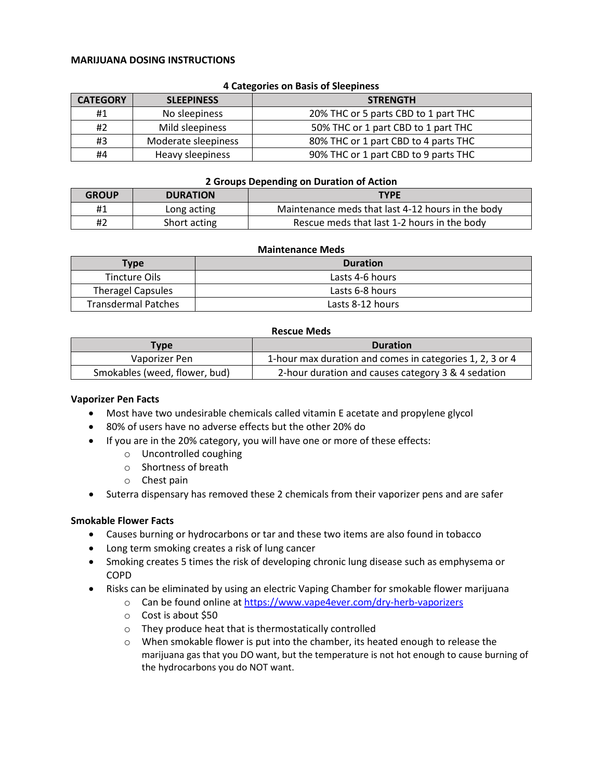#### **MARIJUANA DOSING INSTRUCTIONS**

| <b>CATEGORY</b> | <b>SLEEPINESS</b>   | <b>STRENGTH</b>                      |  |  |
|-----------------|---------------------|--------------------------------------|--|--|
| #1              | No sleepiness       | 20% THC or 5 parts CBD to 1 part THC |  |  |
| #2              | Mild sleepiness     | 50% THC or 1 part CBD to 1 part THC  |  |  |
| #3              | Moderate sleepiness | 80% THC or 1 part CBD to 4 parts THC |  |  |
| #4              | Heavy sleepiness    | 90% THC or 1 part CBD to 9 parts THC |  |  |

#### **4 Categories on Basis of Sleepiness**

#### **2 Groups Depending on Duration of Action**

| <b>GROUP</b> | <b>DURATION</b> | <b>TYPE</b>                                       |
|--------------|-----------------|---------------------------------------------------|
| #1           | Long acting     | Maintenance meds that last 4-12 hours in the body |
| #2           | Short acting    | Rescue meds that last 1-2 hours in the body       |

#### **Maintenance Meds**

| <b>Type</b>                | <b>Duration</b>  |
|----------------------------|------------------|
| Tincture Oils              | Lasts 4-6 hours  |
| <b>Theragel Capsules</b>   | Lasts 6-8 hours  |
| <b>Transdermal Patches</b> | Lasts 8-12 hours |

#### **Rescue Meds**

| Type                          | <b>Duration</b>                                          |
|-------------------------------|----------------------------------------------------------|
| Vaporizer Pen                 | 1-hour max duration and comes in categories 1, 2, 3 or 4 |
| Smokables (weed, flower, bud) | 2-hour duration and causes category 3 & 4 sedation       |

#### **Vaporizer Pen Facts**

- Most have two undesirable chemicals called vitamin E acetate and propylene glycol
- 80% of users have no adverse effects but the other 20% do
- If you are in the 20% category, you will have one or more of these effects:
	- o Uncontrolled coughing
	- o Shortness of breath
	- o Chest pain
- Suterra dispensary has removed these 2 chemicals from their vaporizer pens and are safer

#### **Smokable Flower Facts**

- Causes burning or hydrocarbons or tar and these two items are also found in tobacco
- Long term smoking creates a risk of lung cancer
- Smoking creates 5 times the risk of developing chronic lung disease such as emphysema or COPD
- Risks can be eliminated by using an electric Vaping Chamber for smokable flower marijuana
	- o Can be found online at [https://www.vape4ever.com/dry-herb-vaporizers](https://www.vape4ever.com/dry-herb-vaporizers-weed-pens_c260.html)
	- o Cost is about \$50
	- o They produce heat that is thermostatically controlled
	- $\circ$  When smokable flower is put into the chamber, its heated enough to release the marijuana gas that you DO want, but the temperature is not hot enough to cause burning of the hydrocarbons you do NOT want.